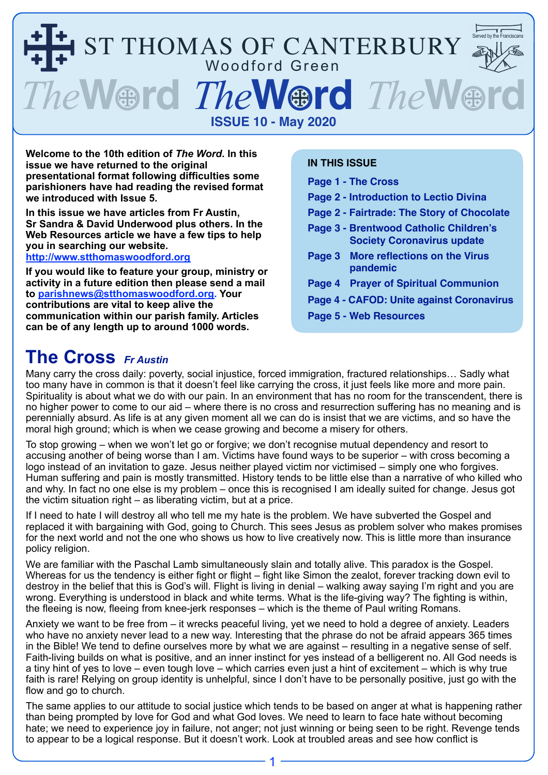

**Welcome to the 10th edition of** *The Word***. In this issue we have returned to the original presentational format following difficulties some parishioners have had reading the revised format we introduced with Issue 5.** 

**In this issue we have articles from Fr Austin, Sr Sandra & David Underwood plus others. In the Web Resources article we have a few tips to help you in searching our website.** 

**<http://www.stthomaswoodford.org>**

**If you would like to feature your group, ministry or activity in a future edition then please send a mail to [parishnews@stthomaswoodford.org.](mailto:parishnews@stthomaswoodford.org) Your contributions are vital to keep alive the communication within our parish family. Articles can be of any length up to around 1000 words.**

#### **IN THIS ISSUE**

- **Page 1 The Cross**
- **Page 2 Introduction to Lectio Divina**
- **Page 2 Fairtrade: The Story of Chocolate**
- **Page 3 Brentwood Catholic Children's Society Coronavirus update**
- **Page 3 More reflections on the Virus pandemic**
- **Page 4 Prayer of Spiritual Communion**
- **Page 4 CAFOD: Unite against Coronavirus**
- **Page 5 Web Resources**

### **The Cross** *Fr Austin*

Many carry the cross daily: poverty, social injustice, forced immigration, fractured relationships… Sadly what too many have in common is that it doesn't feel like carrying the cross, it just feels like more and more pain. Spirituality is about what we do with our pain. In an environment that has no room for the transcendent, there is no higher power to come to our aid – where there is no cross and resurrection suffering has no meaning and is perennially absurd. As life is at any given moment all we can do is insist that we are victims, and so have the moral high ground; which is when we cease growing and become a misery for others.

To stop growing – when we won't let go or forgive; we don't recognise mutual dependency and resort to accusing another of being worse than I am. Victims have found ways to be superior – with cross becoming a logo instead of an invitation to gaze. Jesus neither played victim nor victimised – simply one who forgives. Human suffering and pain is mostly transmitted. History tends to be little else than a narrative of who killed who and why. In fact no one else is my problem – once this is recognised I am ideally suited for change. Jesus got the victim situation right – as liberating victim, but at a price.

If I need to hate I will destroy all who tell me my hate is the problem. We have subverted the Gospel and replaced it with bargaining with God, going to Church. This sees Jesus as problem solver who makes promises for the next world and not the one who shows us how to live creatively now. This is little more than insurance policy religion.

We are familiar with the Paschal Lamb simultaneously slain and totally alive. This paradox is the Gospel. Whereas for us the tendency is either fight or flight – fight like Simon the zealot, forever tracking down evil to destroy in the belief that this is God's will. Flight is living in denial – walking away saying I'm right and you are wrong. Everything is understood in black and white terms. What is the life-giving way? The fighting is within, the fleeing is now, fleeing from knee-jerk responses – which is the theme of Paul writing Romans.

Anxiety we want to be free from – it wrecks peaceful living, yet we need to hold a degree of anxiety. Leaders who have no anxiety never lead to a new way. Interesting that the phrase do not be afraid appears 365 times in the Bible! We tend to define ourselves more by what we are against – resulting in a negative sense of self. Faith-living builds on what is positive, and an inner instinct for yes instead of a belligerent no. All God needs is a tiny hint of yes to love – even tough love – which carries even just a hint of excitement – which is why true faith is rare! Relying on group identity is unhelpful, since I don't have to be personally positive, just go with the flow and go to church.

The same applies to our attitude to social justice which tends to be based on anger at what is happening rather than being prompted by love for God and what God loves. We need to learn to face hate without becoming hate; we need to experience joy in failure, not anger; not just winning or being seen to be right. Revenge tends to appear to be a logical response. But it doesn't work. Look at troubled areas and see how conflict is

1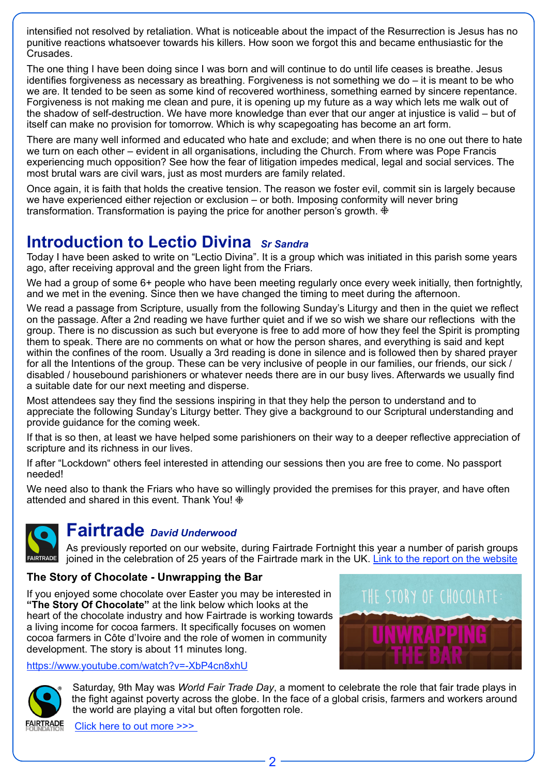intensified not resolved by retaliation. What is noticeable about the impact of the Resurrection is Jesus has no punitive reactions whatsoever towards his killers. How soon we forgot this and became enthusiastic for the Crusades.

The one thing I have been doing since I was born and will continue to do until life ceases is breathe. Jesus identifies forgiveness as necessary as breathing. Forgiveness is not something we do – it is meant to be who we are. It tended to be seen as some kind of recovered worthiness, something earned by sincere repentance. Forgiveness is not making me clean and pure, it is opening up my future as a way which lets me walk out of the shadow of self-destruction. We have more knowledge than ever that our anger at injustice is valid – but of itself can make no provision for tomorrow. Which is why scapegoating has become an art form.

There are many well informed and educated who hate and exclude; and when there is no one out there to hate we turn on each other – evident in all organisations, including the Church. From where was Pope Francis experiencing much opposition? See how the fear of litigation impedes medical, legal and social services. The most brutal wars are civil wars, just as most murders are family related.

Once again, it is faith that holds the creative tension. The reason we foster evil, commit sin is largely because we have experienced either rejection or exclusion – or both. Imposing conformity will never bring transformation. Transformation is paying the price for another person's growth.  $\ddot{\mathbf{\ddot{F}}}$ 

## **Introduction to Lectio Divina** *Sr Sandra*

Today I have been asked to write on "Lectio Divina". It is a group which was initiated in this parish some years ago, after receiving approval and the green light from the Friars.

We had a group of some 6+ people who have been meeting regularly once every week initially, then fortnightly, and we met in the evening. Since then we have changed the timing to meet during the afternoon.

We read a passage from Scripture, usually from the following Sunday's Liturgy and then in the quiet we reflect on the passage. After a 2nd reading we have further quiet and if we so wish we share our reflections with the group. There is no discussion as such but everyone is free to add more of how they feel the Spirit is prompting them to speak. There are no comments on what or how the person shares, and everything is said and kept within the confines of the room. Usually a 3rd reading is done in silence and is followed then by shared prayer for all the Intentions of the group. These can be very inclusive of people in our families, our friends, our sick / disabled / housebound parishioners or whatever needs there are in our busy lives. Afterwards we usually find a suitable date for our next meeting and disperse.

Most attendees say they find the sessions inspiring in that they help the person to understand and to appreciate the following Sunday's Liturgy better. They give a background to our Scriptural understanding and provide guidance for the coming week.

If that is so then, at least we have helped some parishioners on their way to a deeper reflective appreciation of scripture and its richness in our lives.

If after "Lockdown" others feel interested in attending our sessions then you are free to come. No passport needed!

We need also to thank the Friars who have so willingly provided the premises for this prayer, and have often attended and shared in this event. Thank You!



## **Fairtrade** *David Underwood*

As previously reported on our website, during Fairtrade Fortnight this year a number of parish groups joined in the celebration of 25 years of the Fairtrade mark in the UK. [Link to the report on the website](https://3dfdd082-a77c-4ef3-bdb8-08793b35e524.filesusr.com/ugd/2c0a5a_9321f3df4b9249f991e4c76b043bfed2.pdf) 

#### **The Story of Chocolate - Unwrapping the Bar**

If you enjoyed some chocolate over Easter you may be interested in **"The Story Of Chocolate"** at the link below which looks at the heart of the chocolate industry and how Fairtrade is working towards a living income for cocoa farmers. It specifically focuses on women cocoa farmers in Côte d'Ivoire and the role of women in community development. The story is about 11 minutes long.







Saturday, 9th May was *World Fair Trade Day*, a moment to celebrate the role that fair trade plays in the fight against poverty across the globe. In the face of a global crisis, farmers and workers around the world are playing a vital but often forgotten role.

[Click here to out more >>>](https://stories.fairtrade.org.uk/the-key-workers-beyond-our-borders/?utm_medium=email&utm_source=engagingnetworks&utm_campaign=++&utm_content=SC:WFTD+H)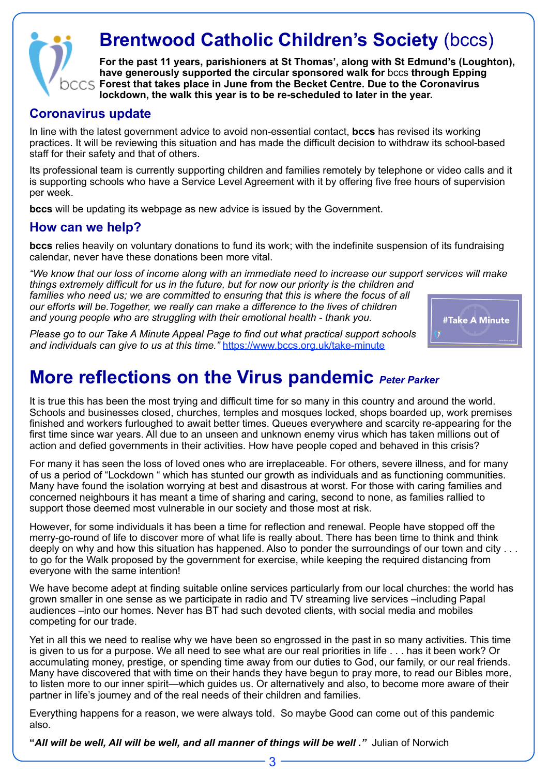

# **Brentwood Catholic Children's Society (bccs)**

**For the past 11 years, parishioners at St Thomas', along with St Edmund's (Loughton), have generously supported the circular sponsored walk for** bccs **through Epping Forest that takes place in June from the Becket Centre. Due to the Coronavirus lockdown, the walk this year is to be re-scheduled to later in the year.**

#### **Coronavirus update**

In line with the latest government advice to avoid non-essential contact, **bccs** has revised its working practices. It will be reviewing this situation and has made the difficult decision to withdraw its school-based staff for their safety and that of others.

Its professional team is currently supporting children and families remotely by telephone or video calls and it is supporting schools who have a Service Level Agreement with it by offering five free hours of supervision per week.

**bccs** will be updating its webpage as new advice is issued by the Government.

#### **How can we help?**

**bccs** relies heavily on voluntary donations to fund its work; with the indefinite suspension of its fundraising calendar, never have these donations been more vital.

*"We know that our loss of income along with an immediate need to increase our support services will make things extremely difficult for us in the future, but for now our priority is the children and families who need us; we are committed to ensuring that this is where the focus of all our efforts will be.Together, we really can make a difference to the lives of children and young people who are struggling with their emotional health - thank you.* 



*Please go to our Take A Minute Appeal Page to find out what practical support schools and individuals can give to us at this time."* <https://www.bccs.org.uk/take-minute>

# **More reflections on the Virus pandemic** *Peter Parker*

It is true this has been the most trying and difficult time for so many in this country and around the world. Schools and businesses closed, churches, temples and mosques locked, shops boarded up, work premises finished and workers furloughed to await better times. Queues everywhere and scarcity re-appearing for the first time since war years. All due to an unseen and unknown enemy virus which has taken millions out of action and defied governments in their activities. How have people coped and behaved in this crisis?

For many it has seen the loss of loved ones who are irreplaceable. For others, severe illness, and for many of us a period of "Lockdown " which has stunted our growth as individuals and as functioning communities. Many have found the isolation worrying at best and disastrous at worst. For those with caring families and concerned neighbours it has meant a time of sharing and caring, second to none, as families rallied to support those deemed most vulnerable in our society and those most at risk.

However, for some individuals it has been a time for reflection and renewal. People have stopped off the merry-go-round of life to discover more of what life is really about. There has been time to think and think deeply on why and how this situation has happened. Also to ponder the surroundings of our town and city . . . to go for the Walk proposed by the government for exercise, while keeping the required distancing from everyone with the same intention!

We have become adept at finding suitable online services particularly from our local churches: the world has grown smaller in one sense as we participate in radio and TV streaming live services –including Papal audiences –into our homes. Never has BT had such devoted clients, with social media and mobiles competing for our trade.

Yet in all this we need to realise why we have been so engrossed in the past in so many activities. This time is given to us for a purpose. We all need to see what are our real priorities in life . . . has it been work? Or accumulating money, prestige, or spending time away from our duties to God, our family, or our real friends. Many have discovered that with time on their hands they have begun to pray more, to read our Bibles more, to listen more to our inner spirit—which guides us. Or alternatively and also, to become more aware of their partner in life's journey and of the real needs of their children and families.

Everything happens for a reason, we were always told. So maybe Good can come out of this pandemic also.

3

**"***All will be well, All will be well, and all manner of things will be well ."* Julian of Norwich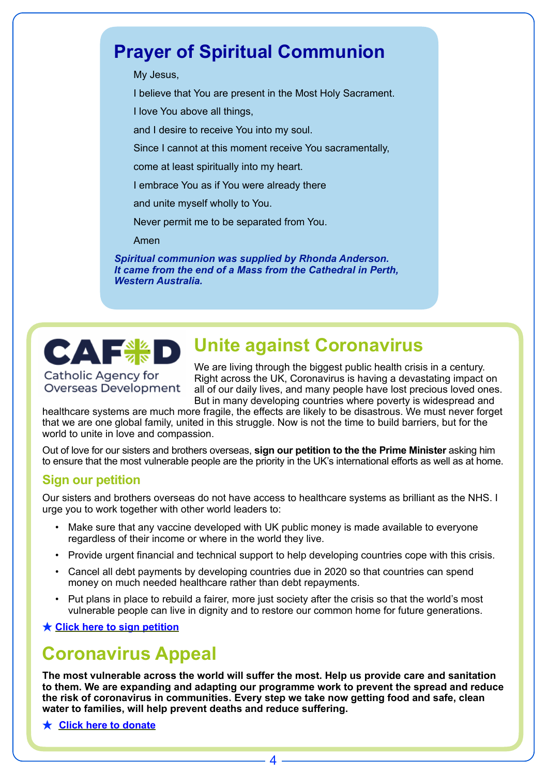# **Prayer of Spiritual Communion**

My Jesus,

I believe that You are present in the Most Holy Sacrament.

I love You above all things,

and I desire to receive You into my soul.

Since I cannot at this moment receive You sacramentally,

come at least spiritually into my heart.

I embrace You as if You were already there

and unite myself wholly to You.

Never permit me to be separated from You.

Amen

*Spiritual communion was supplied by Rhonda Anderson. It came from the end of a Mass from the Cathedral in Perth, Western Australia.*

# **Unite against Coronavirus**

Catholic Agency for Overseas Development

CAF<sup>8</sup>8

We are living through the biggest public health crisis in a century. Right across the UK, Coronavirus is having a devastating impact on all of our daily lives, and many people have lost precious loved ones. But in many developing countries where poverty is widespread and

healthcare systems are much more fragile, the effects are likely to be disastrous. We must never forget that we are one global family, united in this struggle. Now is not the time to build barriers, but for the world to unite in love and compassion.

Out of love for our sisters and brothers overseas, **sign our petition to the the Prime Minister** asking him to ensure that the most vulnerable people are the priority in the UK's international efforts as well as at home.

#### **Sign our petition**

Our sisters and brothers overseas do not have access to healthcare systems as brilliant as the NHS. I urge you to work together with other world leaders to:

- Make sure that any vaccine developed with UK public money is made available to everyone regardless of their income or where in the world they live.
- Provide urgent financial and technical support to help developing countries cope with this crisis.
- Cancel all debt payments by developing countries due in 2020 so that countries can spend money on much needed healthcare rather than debt repayments.
- Put plans in place to rebuild a fairer, more just society after the crisis so that the world's most vulnerable people can live in dignity and to restore our common home for future generations.

**★ [Click here to sign petition](https://e-activist.com/page/59334/petition/1)**

# **Coronavirus Appeal**

**The most vulnerable across the world will suffer the most. Help us provide care and sanitation to them. We are expanding and adapting our programme work to prevent the spread and reduce the risk of coronavirus in communities. Every step we take now getting food and safe, clean water to families, will help prevent deaths and reduce suffering.** 

**★ [Click here to donate](https://cafod.org.uk/Give/Donate-to-Emergencies/Coronavirus-appeal)**